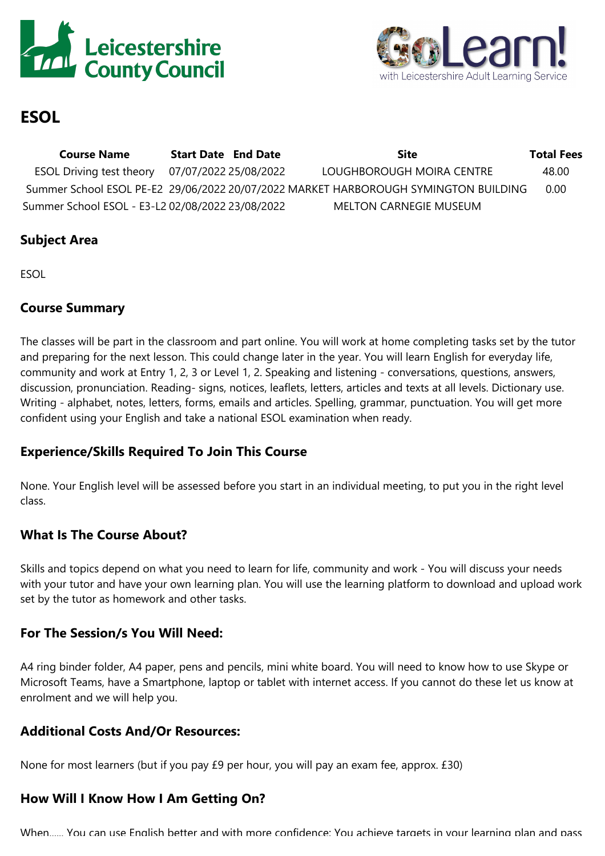



# **ESOL**

**Course Name Start Date End Date Site Total Fees** ESOL Driving test theory 07/07/2022 25/08/2022 LOUGHBOROUGH MOIRA CENTRE 48.00 Summer School ESOL PE-E2 29/06/2022 20/07/2022 MARKET HARBOROUGH SYMINGTON BUILDING 0.00 Summer School ESOL - E3-L2 02/08/2022 23/08/2022 MELTON CARNEGIE MUSEUM

## **Subject Area**

ESOL

### **Course Summary**

The classes will be part in the classroom and part online. You will work at home completing tasks set by the tutor and preparing for the next lesson. This could change later in the year. You will learn English for everyday life, community and work at Entry 1, 2, 3 or Level 1, 2. Speaking and listening - conversations, questions, answers, discussion, pronunciation. Reading- signs, notices, leaflets, letters, articles and texts at all levels. Dictionary use. Writing - alphabet, notes, letters, forms, emails and articles. Spelling, grammar, punctuation. You will get more confident using your English and take <sup>a</sup> national ESOL examination when ready.

## **Experience/Skills Required To Join This Course**

None. Your English level will be assessed before you start in an individual meeting, to put you in the right level class.

## **What Is The Course About?**

Skills and topics depend on what you need to learn for life, community and work - You will discuss your needs with your tutor and have your own learning plan. You will use the learning platform to download and upload work set by the tutor as homework and other tasks.

## **For The Session/s You Will Need:**

A4 ring binder folder, A4 paper, pens and pencils, mini white board. You will need to know how to use Skype or Microsoft Teams, have <sup>a</sup> Smartphone, laptop or tablet with internet access. If you cannot do these let us know at enrolment and we will help you.

## **Additional Costs And/Or Resources:**

None for most learners (but if you pay £9 per hour, you will pay an exam fee, approx. £30)

# **How Will I Know How I Am Getting On?**

When. You can use English better and with more confidence; You achieve targets in your learning plan and pass